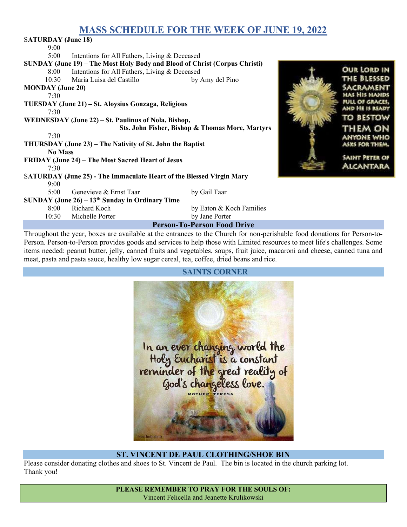# MASS SCHEDULE FOR THE WEEK OF JUNE 19, 2022

UR LORD IN **HE BLESSED** CRAME is Hiis hiands **I.I. OF GRACES, ID HE IS READY BESTOW** 

OHW 3KOYF **SKS FOR THEM** 

**MNT PETER OF LCANTARA** 

| <b>SATURDAY</b> (June 18)                           |                                                                            |                                                 |  |  |
|-----------------------------------------------------|----------------------------------------------------------------------------|-------------------------------------------------|--|--|
| 9:00                                                |                                                                            |                                                 |  |  |
| 5:00                                                | Intentions for All Fathers, Living & Deceased                              |                                                 |  |  |
|                                                     | SUNDAY (June 19) – The Most Holy Body and Blood of Christ (Corpus Christi) |                                                 |  |  |
| 8:00                                                | Intentions for All Fathers, Living & Deceased                              |                                                 |  |  |
| 10:30                                               | Maria Luisa del Castillo                                                   | by Amy del Pino                                 |  |  |
| <b>MONDAY</b> (June 20)                             |                                                                            |                                                 |  |  |
| 7:30                                                |                                                                            |                                                 |  |  |
| TUESDAY (June 21) – St. Aloysius Gonzaga, Religious |                                                                            |                                                 |  |  |
| 7:30                                                |                                                                            |                                                 |  |  |
|                                                     | WEDNESDAY (June 22) – St. Paulinus of Nola, Bishop,                        |                                                 |  |  |
|                                                     |                                                                            | Sts. John Fisher, Bishop & Thomas More, Martyrs |  |  |
| 7:30                                                |                                                                            |                                                 |  |  |
|                                                     | THURSDAY (June 23) – The Nativity of St. John the Baptist                  |                                                 |  |  |
| <b>No Mass</b>                                      |                                                                            |                                                 |  |  |
|                                                     | FRIDAY (June 24) – The Most Sacred Heart of Jesus                          |                                                 |  |  |
| 7:30                                                |                                                                            |                                                 |  |  |
|                                                     | SATURDAY (June 25) - The Immaculate Heart of the Blessed Virgin Mary       |                                                 |  |  |
| 9:00                                                |                                                                            |                                                 |  |  |
| 5:00                                                | Genevieve & Ernst Taar                                                     | by Gail Taar                                    |  |  |
|                                                     | SUNDAY (June $26$ ) – $13th$ Sunday in Ordinary Time                       |                                                 |  |  |
| 8:00                                                | Richard Koch                                                               | by Eaton & Koch Families                        |  |  |
| 10:30                                               | Michelle Porter                                                            | by Jane Porter                                  |  |  |
|                                                     |                                                                            | <b>Person-To-Person Food Drive</b>              |  |  |

Throughout the year, boxes are available at the entrances to the Church for non-perishable food donations for Person-to-Person. Person-to-Person provides goods and services to help those with Limited resources to meet life's challenges. Some items needed: peanut butter, jelly, canned fruits and vegetables, soups, fruit juice, macaroni and cheese, canned tuna and meat, pasta and pasta sauce, healthy low sugar cereal, tea, coffee, dried beans and rice.



#### ST. VINCENT DE PAUL CLOTHING/SHOE BIN

Please consider donating clothes and shoes to St. Vincent de Paul. The bin is located in the church parking lot. Thank you!

> PLEASE REMEMBER TO PRAY FOR THE SOULS OF: Vincent Felicella and Jeanette Krulikowski

#### SAINTS CORNER